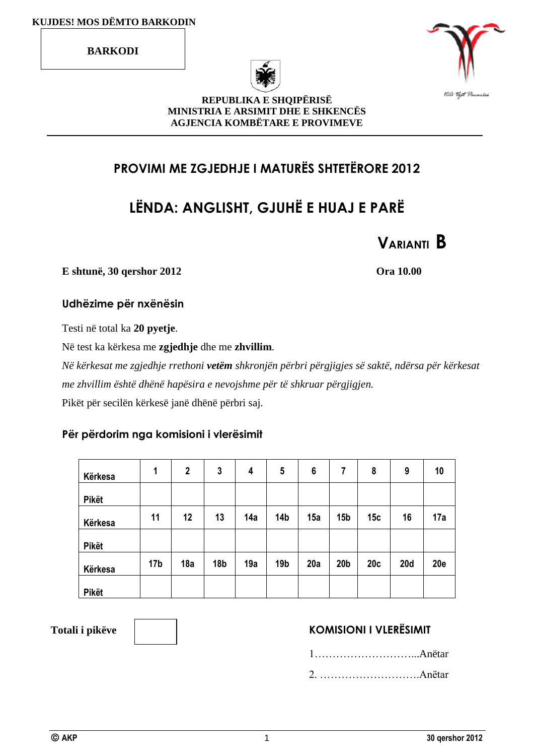**BARKODI**





#### **REPUBLIKA E SHQIPËRISË MINISTRIA E ARSIMIT DHE E SHKENCËS AGJENCIA KOMBËTARE E PROVIMEVE**

# **PROVIMI ME ZGJEDHJE I MATURËS SHTETËRORE 2012**

# **LËNDA: ANGLISHT, GJUHË E HUAJ E PARË**



**E shtunë, 30 qershor 2012 Ora 10.00**

#### **Udhëzime për nxënësin**

Testi në total ka **20 pyetje**.

Në test ka kërkesa me **zgjedhje** dhe me **zhvillim**.

*Në kërkesat me zgjedhje rrethoni vetëm shkronjën përbri përgjigjes së saktë, ndërsa për kërkesat me zhvillim është dhënë hapësira e nevojshme për të shkruar përgjigjen.* Pikët për secilën kërkesë janë dhënë përbri saj.

#### **Për përdorim nga komisioni i vlerësimit**

| Kërkesa      | 1               | $\mathbf 2$ | 3               | 4   | 5               | 6   | 7               | 8   | 9          | 10         |
|--------------|-----------------|-------------|-----------------|-----|-----------------|-----|-----------------|-----|------------|------------|
| <b>Pikët</b> |                 |             |                 |     |                 |     |                 |     |            |            |
| Kërkesa      | 11              | 12          | 13              | 14a | 14 <sub>b</sub> | 15a | 15 <sub>b</sub> | 15c | 16         | 17a        |
| Pikët        |                 |             |                 |     |                 |     |                 |     |            |            |
| Kërkesa      | 17 <sub>b</sub> | 18a         | 18 <sub>b</sub> | 19a | 19 <sub>b</sub> | 20a | 20 <sub>b</sub> | 20c | <b>20d</b> | <b>20e</b> |
| <b>Pikët</b> |                 |             |                 |     |                 |     |                 |     |            |            |

### Totali i pikëve **KOMISIONI I VLERËSIMIT**

1………………………...Anëtar 2. ……………………….Anëtar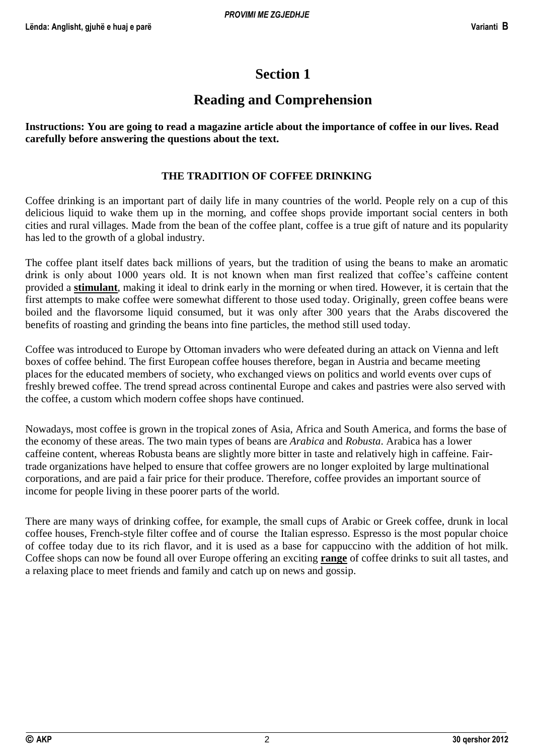# **Section 1**

# **Reading and Comprehension**

**Instructions: You are going to read a magazine article about the importance of coffee in our lives. Read carefully before answering the questions about the text.**

#### **THE TRADITION OF COFFEE DRINKING**

Coffee drinking is an important part of daily life in many countries of the world. People rely on a cup of this delicious liquid to wake them up in the morning, and coffee shops provide important social centers in both cities and rural villages. Made from the bean of the coffee plant, coffee is a true gift of nature and its popularity has led to the growth of a global industry.

The coffee plant itself dates back millions of years, but the tradition of using the beans to make an aromatic drink is only about 1000 years old. It is not known when man first realized that coffee's caffeine content provided a **stimulant**, making it ideal to drink early in the morning or when tired. However, it is certain that the first attempts to make coffee were somewhat different to those used today. Originally, green coffee beans were boiled and the flavorsome liquid consumed, but it was only after 300 years that the Arabs discovered the benefits of roasting and grinding the beans into fine particles, the method still used today.

Coffee was introduced to Europe by Ottoman invaders who were defeated during an attack on Vienna and left boxes of coffee behind. The first European coffee houses therefore, began in Austria and became meeting places for the educated members of society, who exchanged views on politics and world events over cups of freshly brewed coffee. The trend spread across continental Europe and cakes and pastries were also served with the coffee, a custom which modern coffee shops have continued.

Nowadays, most coffee is grown in the tropical zones of Asia, Africa and South America, and forms the base of the economy of these areas. The two main types of beans are *Arabica* and *Robusta*. Arabica has a lower caffeine content, whereas Robusta beans are slightly more bitter in taste and relatively high in caffeine. Fairtrade organizations have helped to ensure that coffee growers are no longer exploited by large multinational corporations, and are paid a fair price for their produce. Therefore, coffee provides an important source of income for people living in these poorer parts of the world.

There are many ways of drinking coffee, for example, the small cups of Arabic or Greek coffee, drunk in local coffee houses, French-style filter coffee and of course the Italian espresso. Espresso is the most popular choice of coffee today due to its rich flavor, and it is used as a base for cappuccino with the addition of hot milk. Coffee shops can now be found all over Europe offering an exciting **range** of coffee drinks to suit all tastes, and a relaxing place to meet friends and family and catch up on news and gossip.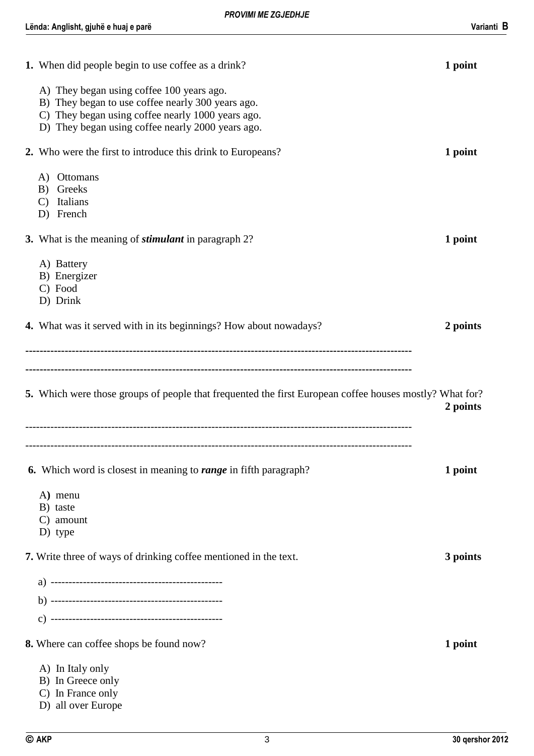| 1. When did people begin to use coffee as a drink?                                                                                                                                                       | 1 point  |
|----------------------------------------------------------------------------------------------------------------------------------------------------------------------------------------------------------|----------|
| A) They began using coffee 100 years ago.<br>B) They began to use coffee nearly 300 years ago.<br>C) They began using coffee nearly 1000 years ago.<br>D) They began using coffee nearly 2000 years ago. |          |
| 2. Who were the first to introduce this drink to Europeans?                                                                                                                                              | 1 point  |
| A) Ottomans<br>Greeks<br>B)<br>Italians<br>$\mathcal{C}$<br>D) French                                                                                                                                    |          |
| 3. What is the meaning of <i>stimulant</i> in paragraph 2?                                                                                                                                               | 1 point  |
| A) Battery<br>B) Energizer<br>C) Food<br>D) Drink                                                                                                                                                        |          |
| <b>4.</b> What was it served with in its beginnings? How about nowadays?                                                                                                                                 | 2 points |
| 5. Which were those groups of people that frequented the first European coffee houses mostly? What for?                                                                                                  | 2 points |
| <b>6.</b> Which word is closest in meaning to <b>range</b> in fifth paragraph?                                                                                                                           | 1 point  |
| A) menu<br>B) taste                                                                                                                                                                                      |          |
| C) amount<br>D) type                                                                                                                                                                                     |          |
| 7. Write three of ways of drinking coffee mentioned in the text.                                                                                                                                         | 3 points |
|                                                                                                                                                                                                          |          |
|                                                                                                                                                                                                          |          |
|                                                                                                                                                                                                          |          |
| 8. Where can coffee shops be found now?                                                                                                                                                                  | 1 point  |
| A) In Italy only<br>B) In Greece only<br>C) In France only<br>D) all over Europe                                                                                                                         |          |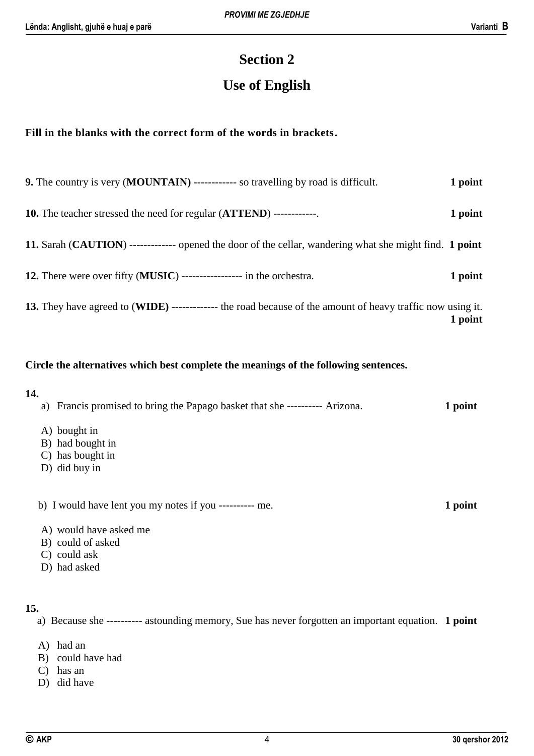# **Section 2**

# **Use of English**

#### **Fill in the blanks with the correct form of the words in brackets.**

| <b>9.</b> The country is very ( <b>MOUNTAIN</b> ) ------------ so travelling by road is difficult.         | 1 point |
|------------------------------------------------------------------------------------------------------------|---------|
| <b>10.</b> The teacher stressed the need for regular ( <b>ATTEND</b> ) -------------                       | 1 point |
| 11. Sarah (CAUTION) ------------- opened the door of the cellar, wandering what she might find. 1 point    |         |
| 12. There were over fifty (MUSIC) ---------------- in the orchestra.                                       | 1 point |
| 13. They have agreed to (WIDE) ------------- the road because of the amount of heavy traffic now using it. | 1 point |

#### **Circle the alternatives which best complete the meanings of the following sentences.**

| 14. |    |                                                                          |         |
|-----|----|--------------------------------------------------------------------------|---------|
|     | a) | Francis promised to bring the Papago basket that she ---------- Arizona. | 1 point |
|     |    | A) bought in<br>B) had bought in                                         |         |
|     |    | C) has bought in                                                         |         |
|     |    | D) did buy in                                                            |         |
|     |    | b) I would have lent you my notes if you ---------- me.                  | 1 point |
|     |    | A) would have asked me                                                   |         |
|     |    | B) could of asked                                                        |         |
|     |    | C) could ask                                                             |         |
|     |    | D) had asked                                                             |         |
|     |    |                                                                          |         |

#### **15.**

a) Because she ---------- astounding memory, Sue has never forgotten an important equation. **1 point**

- A) had an
- B) could have had
- C) has an
- D) did have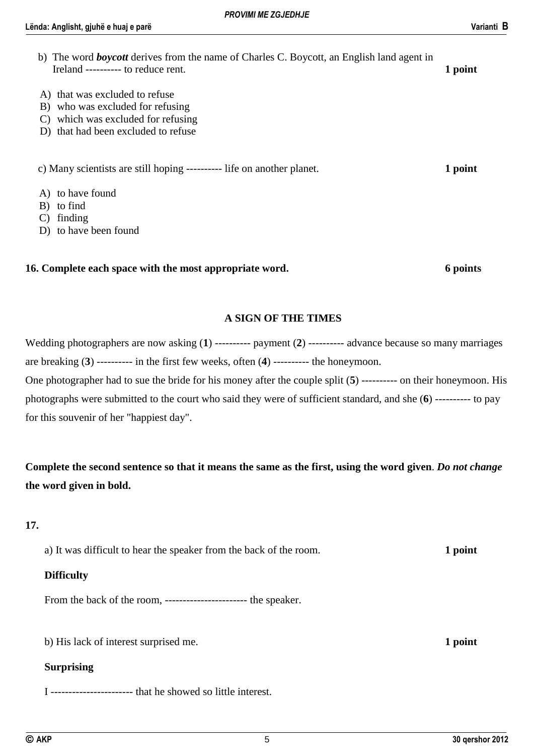| b) The word <b>boycott</b> derives from the name of Charles C. Boycott, an English land agent in<br>Ireland ---------- to reduce rent.             |         |  |  |  |
|----------------------------------------------------------------------------------------------------------------------------------------------------|---------|--|--|--|
| A) that was excluded to refuse<br>B) who was excluded for refusing<br>which was excluded for refusing<br>C)<br>D) that had been excluded to refuse |         |  |  |  |
| c) Many scientists are still hoping ---------- life on another planet.                                                                             | 1 point |  |  |  |
| A) to have found<br>B) to find<br>finding<br>C)<br>D) to have been found                                                                           |         |  |  |  |

#### **16. Complete each space with the most appropriate word. 6 points**

#### **A SIGN OF THE TIMES**

Wedding photographers are now asking (**1**) ---------- payment (**2**) ---------- advance because so many marriages are breaking (**3**) ---------- in the first few weeks, often (**4**) ---------- the honeymoon. One photographer had to sue the bride for his money after the couple split (**5**) ---------- on their honeymoon. His photographs were submitted to the court who said they were of sufficient standard, and she (**6**) ---------- to pay for this souvenir of her "happiest day".

**Complete the second sentence so that it means the same as the first, using the word given**. *Do not change* **the word given in bold.**

#### **17.**

a) It was difficult to hear the speaker from the back of the room. **1 point**

#### **Difficulty**

From the back of the room, ----------------------- the speaker.

b) His lack of interest surprised me. **1 point** 

#### **Surprising**

I ----------------------- that he showed so little interest.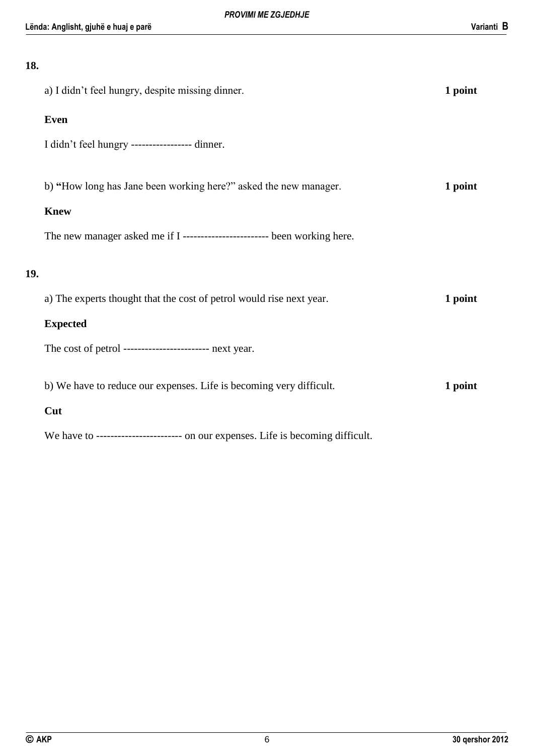# **Lënda: Anglisht, gjuhë e huaj e parë Varianti B 18.** a) I didn't feel hungry, despite missing dinner. **1 point Even** I didn't feel hungry ----------------- dinner. b) "How long has Jane been working here?" asked the new manager. 1 point **Knew** The new manager asked me if I -------------------------- been working here. **19.** a) The experts thought that the cost of petrol would rise next year. **1 point Expected** The cost of petrol ------------------------ next year. b) We have to reduce our expenses. Life is becoming very difficult. **1 point**

#### **Cut**

We have to ------------------------ on our expenses. Life is becoming difficult.